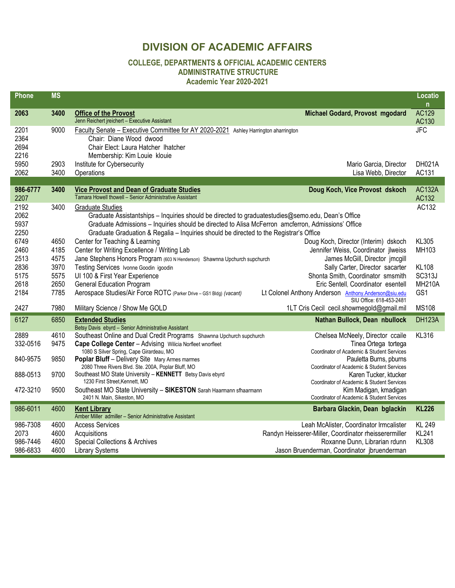## **DIVISION OF ACADEMIC AFFAIRS**

## **COLLEGE, DEPARTMENTS & OFFICIAL ACADEMIC CENTERS ADMINISTRATIVE STRUCTURE**

## **Academic Year 2020-2021**

| Phone                                    | <b>MS</b>                    |                                                                                                                                                                                                                                                                                                                              |                                                                                                                                                                                  | Locatio<br>$\mathsf{n}$                        |
|------------------------------------------|------------------------------|------------------------------------------------------------------------------------------------------------------------------------------------------------------------------------------------------------------------------------------------------------------------------------------------------------------------------|----------------------------------------------------------------------------------------------------------------------------------------------------------------------------------|------------------------------------------------|
| 2063                                     | 3400                         | <b>Office of the Provost</b><br>Jenn Reichert jreichert - Executive Assistant                                                                                                                                                                                                                                                | Michael Godard, Provost mgodard                                                                                                                                                  | <b>AC129</b><br>AC130                          |
| 2201<br>2364<br>2694<br>2216             | 9000                         | Faculty Senate - Executive Committee for AY 2020-2021 Ashley Harrington aharrington<br>Chair: Diane Wood dwood<br>Chair Elect: Laura Hatcher Ihatcher<br>Membership: Kim Louie klouie                                                                                                                                        |                                                                                                                                                                                  | <b>JFC</b>                                     |
| 5950<br>2062                             | 2903<br>3400                 | Institute for Cybersecurity<br>Operations                                                                                                                                                                                                                                                                                    | Mario Garcia, Director<br>Lisa Webb, Director                                                                                                                                    | DH021A<br>AC131                                |
| 986-6777<br>2207                         | 3400                         | <b>Vice Provost and Dean of Graduate Studies</b><br>Tamara Howell thowell - Senior Administrative Assistant                                                                                                                                                                                                                  | Doug Koch, Vice Provost dskoch                                                                                                                                                   | <b>AC132A</b><br>AC132                         |
| 2192<br>2062<br>5937<br>2250             | 3400                         | <b>Graduate Studies</b><br>Graduate Assistantships - Inquiries should be directed to graduatestudies@semo.edu, Dean's Office<br>Graduate Admissions - Inquiries should be directed to Alisa McFerron amcferron, Admissions' Office<br>Graduate Graduation & Regalia - Inquiries should be directed to the Registrar's Office |                                                                                                                                                                                  | AC132                                          |
| 6749<br>2460<br>2513                     | 4650<br>4185<br>4575         | Center for Teaching & Learning<br>Center for Writing Excellence / Writing Lab<br>Jane Stephens Honors Program (603 N Henderson) Shawnna Upchurch supchurch                                                                                                                                                                   | Doug Koch, Director (Interim) dskoch<br>Jennifer Weiss, Coordinator jlweiss<br>James McGill, Director jmcgill                                                                    | <b>KL305</b><br>MH103                          |
| 2836<br>5175<br>2618                     | 3970<br>5575<br>2650         | Testing Services Ivonne Goodin igoodin<br>UI 100 & First Year Experience<br><b>General Education Program</b>                                                                                                                                                                                                                 | Sally Carter, Director sacarter<br>Shonta Smith, Coordinator smsmith<br>Eric Sentell, Coordinator esentell                                                                       | <b>KL108</b><br><b>SC313J</b><br><b>MH210A</b> |
| 2184<br>2427                             | 7785<br>7980                 | Aerospace Studies/Air Force ROTC (Parker Drive - GS1 Bldg) (vacant)<br>Military Science / Show Me GOLD                                                                                                                                                                                                                       | Lt Colonel Anthony Anderson Anthony.Anderson@siu.edu<br>SIU Office: 618-453-2481<br>1LT Cris Cecil cecil.showmegold@gmail.mil                                                    | GS1<br><b>MS108</b>                            |
| 6127                                     | 6850                         | <b>Extended Studies</b><br>Betsy Davis ebyrd - Senior Administrative Assistant                                                                                                                                                                                                                                               | Nathan Bullock, Dean nbullock                                                                                                                                                    | <b>DH123A</b>                                  |
| 2889<br>332-0516                         | 4610<br>9475                 | Southeast Online and Dual Credit Programs Shawnna Upchurch supchurch<br>Cape College Center - Advising Wilicia Norfleet wnorfleet<br>1080 S Silver Spring, Cape Girardeau, MO                                                                                                                                                | Chelsea McNeely, Director ccaile<br>Tinea Ortega tortega<br>Coordinator of Academic & Student Services                                                                           | <b>KL316</b>                                   |
| 840-9575                                 | 9850                         | <b>Poplar Bluff - Delivery Site Mary Armes marmes</b><br>2080 Three Rivers Blvd. Ste. 200A, Poplar Bluff, MO                                                                                                                                                                                                                 | Pauletta Burns, pburns<br>Coordinator of Academic & Student Services                                                                                                             |                                                |
| 888-0513<br>472-3210                     | 9700<br>9500                 | Southeast MO State University - KENNETT Betsy Davis ebyrd<br>1230 First Street, Kennett, MO<br>Southeast MO State University - SIKESTON Sarah Haarmann sfhaarmann                                                                                                                                                            | Karen Tucker, ktucker<br>Coordinator of Academic & Student Services<br>Kim Madigan, kmadigan                                                                                     |                                                |
| 986-6011                                 | 4600                         | 2401 N. Main, Sikeston, MO<br><b>Kent Library</b>                                                                                                                                                                                                                                                                            | Coordinator of Academic & Student Services                                                                                                                                       | <b>KL226</b>                                   |
|                                          |                              | Amber Miller admiller - Senior Administrative Assistant                                                                                                                                                                                                                                                                      | Barbara Glackin, Dean bglackin                                                                                                                                                   |                                                |
| 986-7308<br>2073<br>986-7446<br>986-6833 | 4600<br>4600<br>4600<br>4600 | <b>Access Services</b><br>Acquisitions<br><b>Special Collections &amp; Archives</b><br><b>Library Systems</b>                                                                                                                                                                                                                | Leah McAlister, Coordinator Irmcalister<br>Randyn Heisserer-Miller, Coordinator rheisserermiller<br>Roxanne Dunn, Librarian rdunn<br>Jason Bruenderman, Coordinator jbruenderman | <b>KL 249</b><br><b>KL241</b><br><b>KL308</b>  |